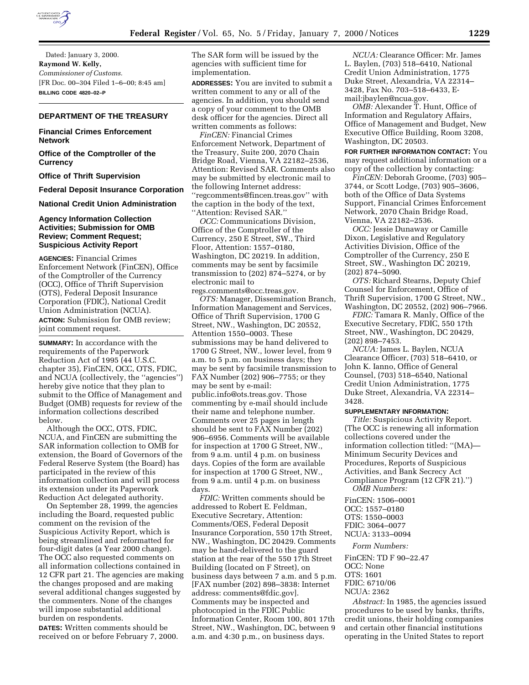

Dated: January 3, 2000. **Raymond W. Kelly,** *Commissioner of Customs.* [FR Doc. 00–304 Filed 1–6–00; 8:45 am] **BILLING CODE 4820–02–P**

#### **DEPARTMENT OF THE TREASURY**

# **Financial Crimes Enforcement Network**

**Office of the Comptroller of the Currency**

**Office of Thrift Supervision**

**Federal Deposit Insurance Corporation**

**National Credit Union Administration**

## **Agency Information Collection Activities; Submission for OMB Review; Comment Request; Suspicious Activity Report**

**AGENCIES:** Financial Crimes Enforcement Network (FinCEN), Office of the Comptroller of the Currency (OCC), Office of Thrift Supervision (OTS), Federal Deposit Insurance Corporation (FDIC), National Credit Union Administration (NCUA). **ACTION:** Submission for OMB review; joint comment request.

**SUMMARY:** In accordance with the requirements of the Paperwork Reduction Act of 1995 (44 U.S.C. chapter 35), FinCEN, OCC, OTS, FDIC, and NCUA (collectively, the ''agencies'') hereby give notice that they plan to submit to the Office of Management and Budget (OMB) requests for review of the information collections described below.

Although the OCC, OTS, FDIC, NCUA, and FinCEN are submitting the SAR information collection to OMB for extension, the Board of Governors of the Federal Reserve System (the Board) has participated in the review of this information collection and will process its extension under its Paperwork Reduction Act delegated authority.

On September 28, 1999, the agencies including the Board, requested public comment on the revision of the Suspicious Activity Report, which is being streamlined and reformatted for four-digit dates (a Year 2000 change). The OCC also requested comments on all information collections contained in 12 CFR part 21. The agencies are making the changes proposed and are making several additional changes suggested by the commenters. None of the changes will impose substantial additional burden on respondents.

**DATES:** Written comments should be received on or before February 7, 2000. The SAR form will be issued by the agencies with sufficient time for implementation.

**ADDRESSES:** You are invited to submit a written comment to any or all of the agencies. In addition, you should send a copy of your comment to the OMB desk officer for the agencies. Direct all written comments as follows:

*FinCEN:* Financial Crimes Enforcement Network, Department of the Treasury, Suite 200, 2070 Chain Bridge Road, Vienna, VA 22182–2536, Attention: Revised SAR. Comments also may be submitted by electronic mail to the following Internet address: ''regcomments@fincen.treas.gov'' with the caption in the body of the text, ''Attention: Revised SAR.''

*OCC:* Communications Division, Office of the Comptroller of the Currency, 250 E Street, SW., Third Floor, Attention: 1557–0180, Washington, DC 20219. In addition, comments may be sent by facsimile transmission to (202) 874–5274, or by electronic mail to

regs.comments@occ.treas.gov. *OTS:* Manager, Dissemination Branch, Information Management and Services,

Office of Thrift Supervision, 1700 G Street, NW., Washington, DC 20552, Attention 1550–0003. These submissions may be hand delivered to 1700 G Street, NW., lower level, from 9 a.m. to 5 p.m. on business days; they may be sent by facsimile transmission to FAX Number (202) 906–7755; or they may be sent by e-mail: public.info@ots.treas.gov. Those commenting by e-mail should include their name and telephone number. Comments over 25 pages in length should be sent to FAX Number (202) 906–6956. Comments will be available for inspection at 1700 G Street, NW., from 9 a.m. until 4 p.m. on business days. Copies of the form are available for inspection at 1700 G Street, NW., from 9 a.m. until 4 p.m. on business days.

*FDIC:* Written comments should be addressed to Robert E. Feldman, Executive Secretary, Attention: Comments/OES, Federal Deposit Insurance Corporation, 550 17th Street, NW., Washington, DC 20429. Comments may be hand-delivered to the guard station at the rear of the 550 17th Street Building (located on F Street), on business days between 7 a.m. and 5 p.m. [FAX number (202) 898–3838: Internet address: comments@fdic.gov]. Comments may be inspected and photocopied in the FDIC Public Information Center, Room 100, 801 17th Street, NW., Washington, DC, between 9 a.m. and 4:30 p.m., on business days.

*NCUA:* Clearance Officer: Mr. James L. Baylen, (703) 518–6410, National Credit Union Administration, 1775 Duke Street, Alexandria, VA 22314– 3428, Fax No. 703–518–6433, Email:jbaylen@ncua.gov.

*OMB:* Alexander T. Hunt, Office of Information and Regulatory Affairs, Office of Management and Budget, New Executive Office Building, Room 3208, Washington, DC 20503.

**FOR FURTHER INFORMATION CONTACT:** You may request additional information or a copy of the collection by contacting:

*FinCEN:* Deborah Groome, (703) 905– 3744, or Scott Lodge, (703) 905–3606, both of the Office of Data Systems Support, Financial Crimes Enforcement Network, 2070 Chain Bridge Road, Vienna, VA 22182–2536.

*OCC:* Jessie Dunaway or Camille Dixon, Legislative and Regulatory Activities Division, Office of the Comptroller of the Currency, 250 E Street, SW., Washington DC 20219, (202) 874–5090.

*OTS:* Richard Stearns, Deputy Chief Counsel for Enforcement, Office of Thrift Supervision, 1700 G Street, NW., Washington, DC 20552, (202) 906–7966.

*FDIC:* Tamara R. Manly, Office of the Executive Secretary, FDIC, 550 17th Street, NW., Washington, DC 20429, (202) 898–7453.

*NCUA:* James L. Baylen, NCUA Clearance Officer, (703) 518–6410, or John K. Ianno, Office of General Counsel, (703) 518–6540, National Credit Union Administration, 1775 Duke Street, Alexandria, VA 22314– 3428.

## **SUPPLEMENTARY INFORMATION:**

*Title:* Suspicious Activity Report. (The OCC is renewing all information collections covered under the information collection titled: ''(MA)— Minimum Security Devices and Procedures, Reports of Suspicious Activities, and Bank Secrecy Act Compliance Program (12 CFR 21).'') *OMB Numbers:*

FinCEN: 1506–0001 OCC: 1557–0180 OTS: 1550–0003 FDIC: 3064–0077 NCUA: 3133–0094

#### *Form Numbers:*

FinCEN: TD F 90–22.47 OCC: None OTS: 1601 FDIC: 6710/06 NCUA: 2362

*Abstract:* In 1985, the agencies issued procedures to be used by banks, thrifts, credit unions, their holding companies and certain other financial institutions operating in the United States to report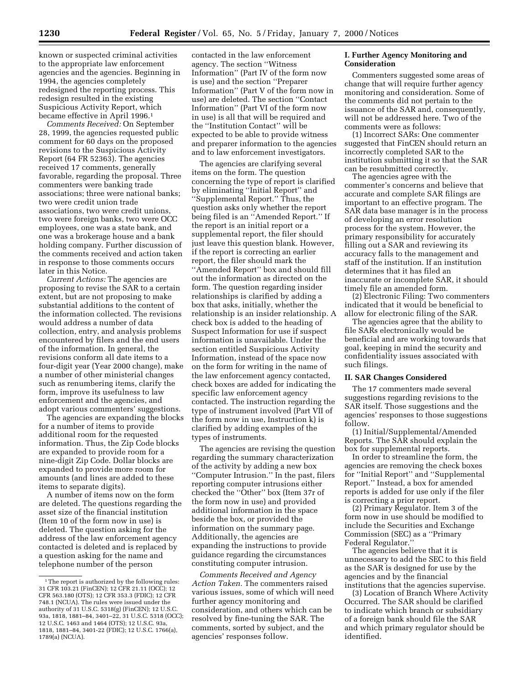known or suspected criminal activities to the appropriate law enforcement agencies and the agencies. Beginning in 1994, the agencies completely redesigned the reporting process. This redesign resulted in the existing Suspicious Activity Report, which became effective in April 1996.1

*Comments Received:* On September 28, 1999, the agencies requested public comment for 60 days on the proposed revisions to the Suspicious Activity Report (64 FR 52363). The agencies received 17 comments, generally favorable, regarding the proposal. Three commenters were banking trade associations; three were national banks; two were credit union trade associations, two were credit unions, two were foreign banks, two were OCC employees, one was a state bank, and one was a brokerage house and a bank holding company. Further discussion of the comments received and action taken in response to those comments occurs later in this Notice.

*Current Actions:* The agencies are proposing to revise the SAR to a certain extent, but are not proposing to make substantial additions to the content of the information collected. The revisions would address a number of data collection, entry, and analysis problems encountered by filers and the end users of the information. In general, the revisions conform all date items to a four-digit year (Year 2000 change), make a number of other ministerial changes such as renumbering items, clarify the form, improve its usefulness to law enforcement and the agencies, and adopt various commenters' suggestions.

The agencies are expanding the blocks for a number of items to provide additional room for the requested information. Thus, the Zip Code blocks are expanded to provide room for a nine-digit Zip Code. Dollar blocks are expanded to provide more room for amounts (and lines are added to these items to separate digits).

A number of items now on the form are deleted. The questions regarding the asset size of the financial institution (Item 10 of the form now in use) is deleted. The question asking for the address of the law enforcement agency contacted is deleted and is replaced by a question asking for the name and telephone number of the person

contacted in the law enforcement agency. The section ''Witness Information'' (Part IV of the form now is use) and the section ''Preparer Information'' (Part V of the form now in use) are deleted. The section ''Contact Information'' (Part VI of the form now in use) is all that will be required and the ''Institution Contact'' will be expected to be able to provide witness and preparer information to the agencies and to law enforcement investigators.

The agencies are clarifying several items on the form. The question concerning the type of report is clarified by eliminating ''Initial Report'' and ''Supplemental Report.'' Thus, the question asks only whether the report being filed is an ''Amended Report.'' If the report is an initial report or a supplemental report, the filer should just leave this question blank. However, if the report is correcting an earlier report, the filer should mark the ''Amended Report'' box and should fill out the information as directed on the form. The question regarding insider relationships is clarified by adding a box that asks, initially, whether the relationship is an insider relationship. A check box is added to the heading of Suspect Information for use if suspect information is unavailable. Under the section entitled Suspicious Activity Information, instead of the space now on the form for writing in the name of the law enforcement agency contacted, check boxes are added for indicating the specific law enforcement agency contacted. The instruction regarding the type of instrument involved (Part VII of the form now in use, Instruction k) is clarified by adding examples of the types of instruments.

The agencies are revising the question regarding the summary characterization of the activity by adding a new box ''Computer Intrusion.'' In the past, filers reporting computer intrusions either checked the ''Other'' box (Item 37r of the form now in use) and provided additional information in the space beside the box, or provided the information on the summary page. Additionally, the agencies are expanding the instructions to provide guidance regarding the circumstances constituting computer intrusion.

*Comments Received and Agency Action Taken.* The commenters raised various issues, some of which will need further agency monitoring and consideration, and others which can be resolved by fine-tuning the SAR. The comments, sorted by subject, and the agencies' responses follow.

## **I. Further Agency Monitoring and Consideration**

Commenters suggested some areas of change that will require further agency monitoring and consideration. Some of the comments did not pertain to the issuance of the SAR and, consequently, will not be addressed here. Two of the comments were as follows:

(1) Incorrect SARs: One commenter suggested that FinCEN should return an incorrectly completed SAR to the institution submitting it so that the SAR can be resubmitted correctly.

The agencies agree with the commenter's concerns and believe that accurate and complete SAR filings are important to an effective program. The SAR data base manager is in the process of developing an error resolution process for the system. However, the primary responsibility for accurately filling out a SAR and reviewing its accuracy falls to the management and staff of the institution. If an institution determines that it has filed an inaccurate or incomplete SAR, it should timely file an amended form.

(2) Electronic Filing: Two commenters indicated that it would be beneficial to allow for electronic filing of the SAR.

The agencies agree that the ability to file SARs electronically would be beneficial and are working towards that goal, keeping in mind the security and confidentiality issues associated with such filings.

#### **II. SAR Changes Considered**

The 17 commenters made several suggestions regarding revisions to the SAR itself. Those suggestions and the agencies' responses to those suggestions follow.

(1) Initial/Supplemental/Amended Reports. The SAR should explain the box for supplemental reports.

In order to streamline the form, the agencies are removing the check boxes for ''Initial Report'' and ''Supplemental Report.'' Instead, a box for amended reports is added for use only if the filer is correcting a prior report.

(2) Primary Regulator. Item 3 of the form now in use should be modified to include the Securities and Exchange Commission (SEC) as a ''Primary Federal Regulator.''

The agencies believe that it is unnecessary to add the SEC to this field as the SAR is designed for use by the agencies and by the financial institutions that the agencies supervise.

(3) Location of Branch Where Activity Occurred. The SAR should be clarified to indicate which branch or subsidiary of a foreign bank should file the SAR and which primary regulator should be identified.

<sup>&</sup>lt;sup>1</sup>The report is authorized by the following rules: 31 CFR 103.21 (FinCEN); 12 CFR 21.11 (OCC); 12 CFR 563.180 (OTS); 12 CFR 353.3 (FDIC); 12 CFR 748.1 (NCUA). The rules were issued under the authority of 31 U.S.C. 5318(g) (FinCEN); 12 U.S.C. 93a, 1818, 1881–84, 3401–22, 31 U.S.C. 5318 (OCC); 12 U.S.C. 1463 and 1464 (OTS); 12 U.S.C. 93a, 1818, 1881–84, 3401-22 (FDIC); 12 U.S.C. 1766(a), 1789(a) (NCUA).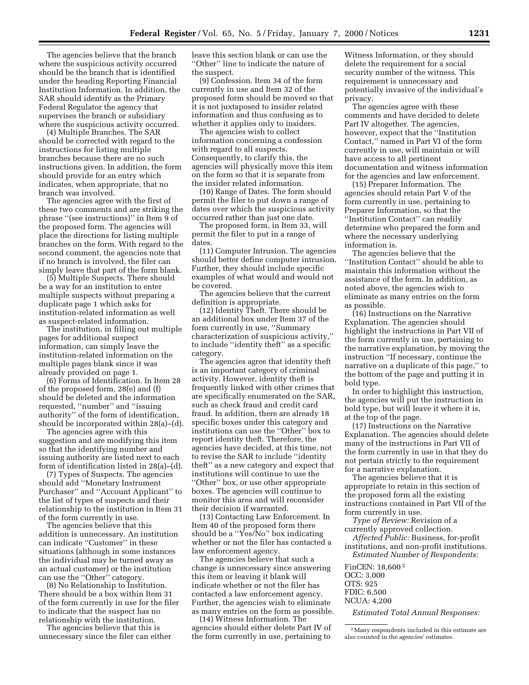The agencies believe that the branch where the suspicious activity occurred should be the branch that is identified under the heading Reporting Financial Institution Information. In addition, the SAR should identify as the Primary Federal Regulator the agency that supervises the branch or subsidiary where the suspicious activity occurred.

(4) Multiple Branches. The SAR should be corrected with regard to the instructions for listing multiple branches because there are no such instructions given. In addition, the form should provide for an entry which indicates, when appropriate, that no branch was involved.

The agencies agree with the first of these two comments and are striking the phrase ''(see instructions)'' in Item 9 of the proposed form. The agencies will place the directions for listing multiple branches on the form. With regard to the second comment, the agencies note that if no branch is involved, the filer can simply leave that part of the form blank.

(5) Multiple Suspects. There should be a way for an institution to enter multiple suspects without preparing a duplicate page 1 which asks for institution-related information as well as suspect-related information.

The institution, in filling out multiple pages for additional suspect information, can simply leave the institution-related information on the multiple pages blank since it was already provided on page 1.

(6) Forms of Identification. In Item 28 of the proposed form, 28(e) and (f) should be deleted and the information requested, ''number'' and ''issuing authority'' of the form of identification, should be incorporated within 28(a)–(d).

The agencies agree with this suggestion and are modifying this item so that the identifying number and issuing authority are listed next to each form of identification listed in 28(a)–(d).

(7) Types of Suspects. The agencies should add ''Monetary Instrument Purchaser'' and ''Account Applicant'' to the list of types of suspects and their relationship to the institution in Item 31 of the form currently in use.

The agencies believe that this addition is unnecessary. An institution can indicate ''Customer'' in these situations (although in some instances the individual may be turned away as an actual customer) or the institution can use the ''Other'' category.

(8) No Relationship to Institution. There should be a box within Item 31 of the form currently in use for the filer to indicate that the suspect has no relationship with the institution.

The agencies believe that this is unnecessary since the filer can either leave this section blank or can use the ''Other'' line to indicate the nature of the suspect.

(9) Confession. Item 34 of the form currently in use and Item 32 of the proposed form should be moved so that it is not juxtaposed to insider related information and thus confusing as to whether it applies only to insiders.

The agencies wish to collect information concerning a confession with regard to all suspects. Consequently, to clarify this, the agencies will physically move this item on the form so that it is separate from the insider related information.

(10) Range of Dates. The form should permit the filer to put down a range of dates over which the suspicious activity occurred rather than just one date.

The proposed form, in Item 33, will permit the filer to put in a range of dates.

(11) Computer Intrusion. The agencies should better define computer intrusion. Further, they should include specific examples of what would and would not be covered.

The agencies believe that the current definition is appropriate.

(12) Identity Theft. There should be an additional box under Item 37 of the form currently in use, ''Summary characterization of suspicious activity,'' to include ''identity theft'' as a specific category.

The agencies agree that identity theft is an important category of criminal activity. However, identity theft is frequently linked with other crimes that are specifically enumerated on the SAR, such as check fraud and credit card fraud. In addition, there are already 18 specific boxes under this category and institutions can use the ''Other'' box to report identity theft. Therefore, the agencies have decided, at this time, not to revise the SAR to include ''identity theft'' as a new category and expect that institutions will continue to use the ''Other'' box, or use other appropriate boxes. The agencies will continue to monitor this area and will reconsider their decision if warranted.

(13) Contacting Law Enforcement. In Item 40 of the proposed form there should be a ''Yes/No'' box indicating whether or not the filer has contacted a law enforcement agency.

The agencies believe that such a change is unnecessary since answering this item or leaving it blank will indicate whether or not the filer has contacted a law enforcement agency. Further, the agencies wish to eliminate as many entries on the form as possible.

(14) Witness Information. The agencies should either delete Part IV of the form currently in use, pertaining to

Witness Information, or they should delete the requirement for a social security number of the witness. This requirement is unnecessary and potentially invasive of the individual's privacy.

The agencies agree with these comments and have decided to delete Part IV altogether. The agencies, however, expect that the ''Institution Contact,'' named in Part VI of the form currently in use, will maintain or will have access to all pertinent documentation and witness information for the agencies and law enforcement.

(15) Preparer Information. The agencies should retain Part V of the form currently in use, pertaining to Preparer Information, so that the ''Institution Contact'' can readily determine who prepared the form and where the necessary underlying information is.

The agencies believe that the ''Institution Contact'' should be able to maintain this information without the assistance of the form. In addition, as noted above, the agencies wish to eliminate as many entries on the form as possible.

(16) Instructions on the Narrative Explanation. The agencies should highlight the instructions in Part VII of the form currently in use, pertaining to the narrative explanation, by moving the instruction ''If necessary, continue the narrative on a duplicate of this page,'' to the bottom of the page and putting it in bold type.

In order to highlight this instruction, the agencies will put the instruction in bold type, but will leave it where it is, at the top of the page.

(17) Instructions on the Narrative Explanation. The agencies should delete many of the instructions in Part VII of the form currently in use in that they do not pertain strictly to the requirement for a narrative explanation.

The agencies believe that it is appropriate to retain in this section of the proposed form all the existing instructions contained in Part VII of the form currently in use.

*Type of Review:* Revision of a currently approved collection.

*Affected Public:* Business, for-profit institutions, and non-profit institutions. *Estimated Number of Respondents:*

FinCEN: 18,600 2 OCC: 3,000 OTS: 925 FDIC: 6,500 NCUA: 4,200

*Estimated Total Annual Responses:*

2Many respondents included in this estimate are also counted in the agencies' estimates.